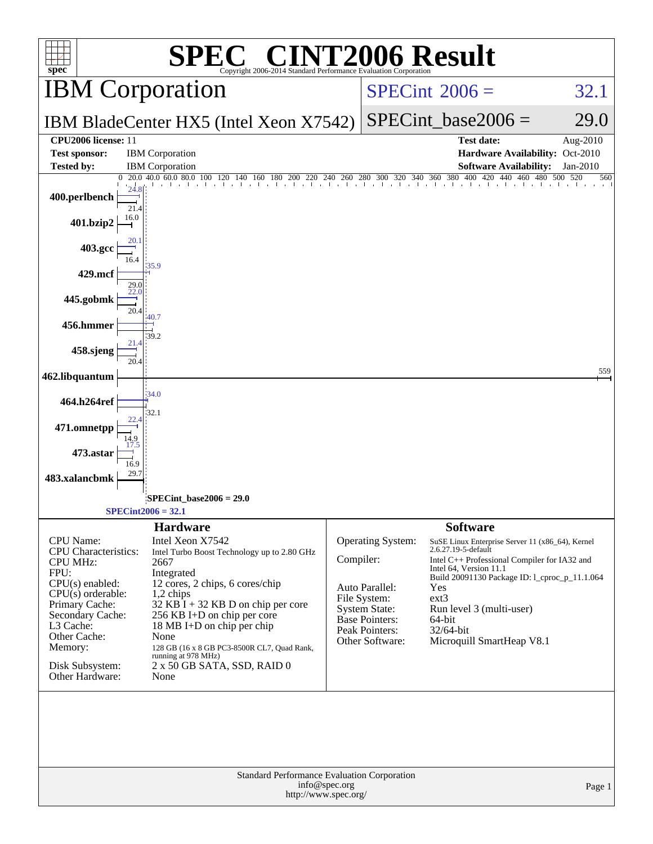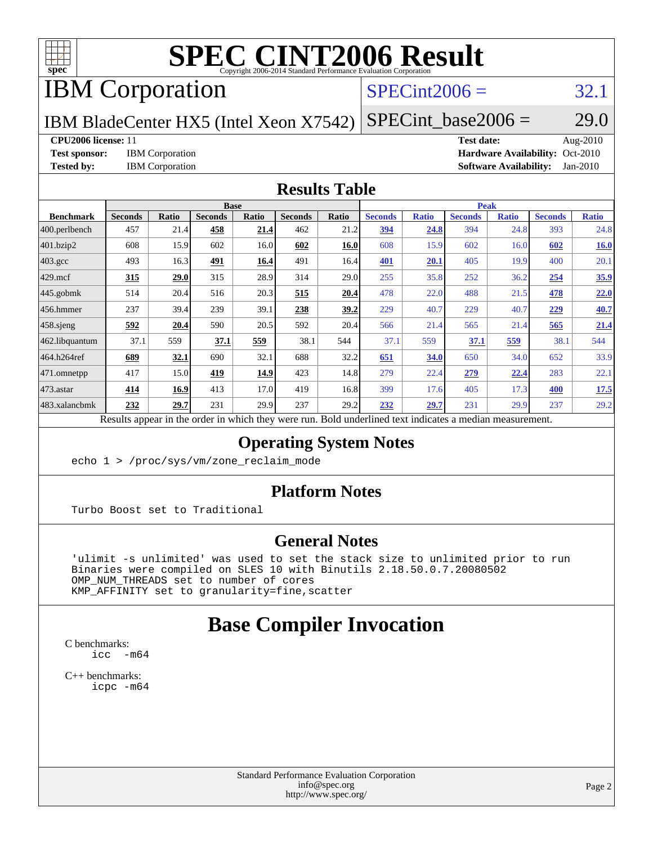

# IBM Corporation

## $SPECint2006 = 32.1$  $SPECint2006 = 32.1$

IBM BladeCenter HX5 (Intel Xeon X7542)  $SPECTnt\_base2006 = 29.0$ 

#### **[CPU2006 license:](http://www.spec.org/auto/cpu2006/Docs/result-fields.html#CPU2006license)** 11 **[Test date:](http://www.spec.org/auto/cpu2006/Docs/result-fields.html#Testdate)** Aug-2010

**[Test sponsor:](http://www.spec.org/auto/cpu2006/Docs/result-fields.html#Testsponsor)** IBM Corporation **[Hardware Availability:](http://www.spec.org/auto/cpu2006/Docs/result-fields.html#HardwareAvailability)** Oct-2010 **[Tested by:](http://www.spec.org/auto/cpu2006/Docs/result-fields.html#Testedby)** IBM Corporation **[Software Availability:](http://www.spec.org/auto/cpu2006/Docs/result-fields.html#SoftwareAvailability)** Jan-2010

#### **[Results Table](http://www.spec.org/auto/cpu2006/Docs/result-fields.html#ResultsTable)**

|                  | <b>Base</b>    |              |                |       |                | <b>Peak</b> |                |              |                |              |                |              |
|------------------|----------------|--------------|----------------|-------|----------------|-------------|----------------|--------------|----------------|--------------|----------------|--------------|
| <b>Benchmark</b> | <b>Seconds</b> | <b>Ratio</b> | <b>Seconds</b> | Ratio | <b>Seconds</b> | Ratio       | <b>Seconds</b> | <b>Ratio</b> | <b>Seconds</b> | <b>Ratio</b> | <b>Seconds</b> | <b>Ratio</b> |
| 400.perlbench    | 457            | 21.4         | 458            | 21.4  | 462            | 21.2        | <u>394</u>     | 24.8         | 394            | 24.8         | 393            | 24.8         |
| 401.bzip2        | 608            | 15.9         | 602            | 16.0  | 602            | 16.0        | 608            | 15.9         | 602            | 16.0         | 602            | <b>16.0</b>  |
| $403.\text{gcc}$ | 493            | 16.3         | <u>491</u>     | 16.4  | 491            | 16.4        | 401            | 20.1         | 405            | 19.9         | 400            | 20.1         |
| $429$ .mcf       | 315            | 29.0         | 315            | 28.9  | 314            | 29.0        | 255            | 35.8         | 252            | 36.2         | 254            | 35.9         |
| $445$ .gobmk     | 514            | 20.4         | 516            | 20.3  | 515            | 20.4        | 478            | 22.0         | 488            | 21.5         | 478            | 22.0         |
| $ 456$ .hmmer    | 237            | 39.4         | 239            | 39.1  | 238            | 39.2        | 229            | 40.7         | 229            | 40.7         | 229            | 40.7         |
| $458$ .sjeng     | 592            | 20.4         | 590            | 20.5  | 592            | 20.4        | 566            | 21.4         | 565            | 21.4         | 565            | 21.4         |
| 462.libquantum   | 37.1           | 559          | 37.1           | 559   | 38.1           | 544         | 37.1           | 559          | 37.1           | 559          | 38.1           | 544          |
| 464.h264ref      | 689            | 32.1         | 690            | 32.1  | 688            | 32.2        | 651            | 34.0         | 650            | 34.0         | 652            | 33.9         |
| 471.omnetpp      | 417            | 15.0         | 419            | 14.9  | 423            | 14.8        | 279            | 22.4         | 279            | 22.4         | 283            | 22.1         |
| $473$ . astar    | 414            | 16.9         | 413            | 17.0  | 419            | 16.8        | 399            | 17.6         | 405            | 17.3         | 400            | 17.5         |
| 483.xalancbmk    | 232            | 29.7         | 231            | 29.9  | 237            | 29.2        | 232            | 29.7         | 231            | 29.9         | 237            | 29.2         |

Results appear in the [order in which they were run.](http://www.spec.org/auto/cpu2006/Docs/result-fields.html#RunOrder) Bold underlined text [indicates a median measurement.](http://www.spec.org/auto/cpu2006/Docs/result-fields.html#Median)

### **[Operating System Notes](http://www.spec.org/auto/cpu2006/Docs/result-fields.html#OperatingSystemNotes)**

echo 1 > /proc/sys/vm/zone\_reclaim\_mode

#### **[Platform Notes](http://www.spec.org/auto/cpu2006/Docs/result-fields.html#PlatformNotes)**

Turbo Boost set to Traditional

#### **[General Notes](http://www.spec.org/auto/cpu2006/Docs/result-fields.html#GeneralNotes)**

 'ulimit -s unlimited' was used to set the stack size to unlimited prior to run Binaries were compiled on SLES 10 with Binutils 2.18.50.0.7.20080502 OMP\_NUM\_THREADS set to number of cores KMP\_AFFINITY set to granularity=fine,scatter

# **[Base Compiler Invocation](http://www.spec.org/auto/cpu2006/Docs/result-fields.html#BaseCompilerInvocation)**

[C benchmarks](http://www.spec.org/auto/cpu2006/Docs/result-fields.html#Cbenchmarks): [icc -m64](http://www.spec.org/cpu2006/results/res2010q3/cpu2006-20100831-13138.flags.html#user_CCbase_intel_icc_64bit_f346026e86af2a669e726fe758c88044)

[C++ benchmarks:](http://www.spec.org/auto/cpu2006/Docs/result-fields.html#CXXbenchmarks) [icpc -m64](http://www.spec.org/cpu2006/results/res2010q3/cpu2006-20100831-13138.flags.html#user_CXXbase_intel_icpc_64bit_fc66a5337ce925472a5c54ad6a0de310)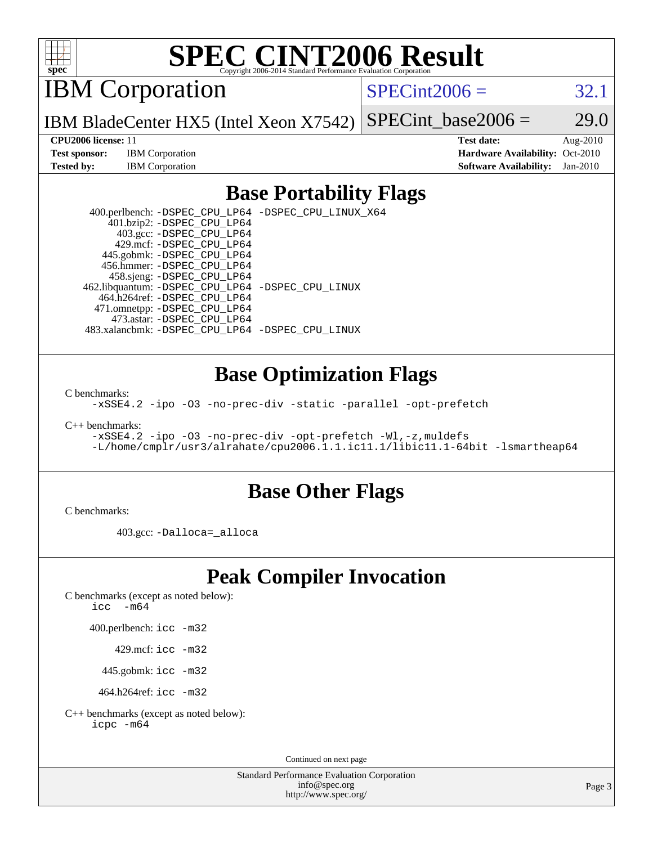

IBM Corporation

 $SPECint2006 = 32.1$  $SPECint2006 = 32.1$ 

IBM BladeCenter HX5 (Intel Xeon X7542) SPECint base2006 =  $29.0$ 

**[Test sponsor:](http://www.spec.org/auto/cpu2006/Docs/result-fields.html#Testsponsor)** IBM Corporation **[Hardware Availability:](http://www.spec.org/auto/cpu2006/Docs/result-fields.html#HardwareAvailability)** Oct-2010

**[CPU2006 license:](http://www.spec.org/auto/cpu2006/Docs/result-fields.html#CPU2006license)** 11 **[Test date:](http://www.spec.org/auto/cpu2006/Docs/result-fields.html#Testdate)** Aug-2010 **[Tested by:](http://www.spec.org/auto/cpu2006/Docs/result-fields.html#Testedby)** IBM Corporation **[Software Availability:](http://www.spec.org/auto/cpu2006/Docs/result-fields.html#SoftwareAvailability)** Jan-2010

## **[Base Portability Flags](http://www.spec.org/auto/cpu2006/Docs/result-fields.html#BasePortabilityFlags)**

 400.perlbench: [-DSPEC\\_CPU\\_LP64](http://www.spec.org/cpu2006/results/res2010q3/cpu2006-20100831-13138.flags.html#b400.perlbench_basePORTABILITY_DSPEC_CPU_LP64) [-DSPEC\\_CPU\\_LINUX\\_X64](http://www.spec.org/cpu2006/results/res2010q3/cpu2006-20100831-13138.flags.html#b400.perlbench_baseCPORTABILITY_DSPEC_CPU_LINUX_X64) 401.bzip2: [-DSPEC\\_CPU\\_LP64](http://www.spec.org/cpu2006/results/res2010q3/cpu2006-20100831-13138.flags.html#suite_basePORTABILITY401_bzip2_DSPEC_CPU_LP64) 403.gcc: [-DSPEC\\_CPU\\_LP64](http://www.spec.org/cpu2006/results/res2010q3/cpu2006-20100831-13138.flags.html#suite_basePORTABILITY403_gcc_DSPEC_CPU_LP64) 429.mcf: [-DSPEC\\_CPU\\_LP64](http://www.spec.org/cpu2006/results/res2010q3/cpu2006-20100831-13138.flags.html#suite_basePORTABILITY429_mcf_DSPEC_CPU_LP64) 445.gobmk: [-DSPEC\\_CPU\\_LP64](http://www.spec.org/cpu2006/results/res2010q3/cpu2006-20100831-13138.flags.html#suite_basePORTABILITY445_gobmk_DSPEC_CPU_LP64) 456.hmmer: [-DSPEC\\_CPU\\_LP64](http://www.spec.org/cpu2006/results/res2010q3/cpu2006-20100831-13138.flags.html#suite_basePORTABILITY456_hmmer_DSPEC_CPU_LP64) 458.sjeng: [-DSPEC\\_CPU\\_LP64](http://www.spec.org/cpu2006/results/res2010q3/cpu2006-20100831-13138.flags.html#suite_basePORTABILITY458_sjeng_DSPEC_CPU_LP64) 462.libquantum: [-DSPEC\\_CPU\\_LP64](http://www.spec.org/cpu2006/results/res2010q3/cpu2006-20100831-13138.flags.html#suite_basePORTABILITY462_libquantum_DSPEC_CPU_LP64) [-DSPEC\\_CPU\\_LINUX](http://www.spec.org/cpu2006/results/res2010q3/cpu2006-20100831-13138.flags.html#b462.libquantum_baseCPORTABILITY_DSPEC_CPU_LINUX) 464.h264ref: [-DSPEC\\_CPU\\_LP64](http://www.spec.org/cpu2006/results/res2010q3/cpu2006-20100831-13138.flags.html#suite_basePORTABILITY464_h264ref_DSPEC_CPU_LP64) 471.omnetpp: [-DSPEC\\_CPU\\_LP64](http://www.spec.org/cpu2006/results/res2010q3/cpu2006-20100831-13138.flags.html#suite_basePORTABILITY471_omnetpp_DSPEC_CPU_LP64) 473.astar: [-DSPEC\\_CPU\\_LP64](http://www.spec.org/cpu2006/results/res2010q3/cpu2006-20100831-13138.flags.html#suite_basePORTABILITY473_astar_DSPEC_CPU_LP64) 483.xalancbmk: [-DSPEC\\_CPU\\_LP64](http://www.spec.org/cpu2006/results/res2010q3/cpu2006-20100831-13138.flags.html#suite_basePORTABILITY483_xalancbmk_DSPEC_CPU_LP64) [-DSPEC\\_CPU\\_LINUX](http://www.spec.org/cpu2006/results/res2010q3/cpu2006-20100831-13138.flags.html#b483.xalancbmk_baseCXXPORTABILITY_DSPEC_CPU_LINUX)

### **[Base Optimization Flags](http://www.spec.org/auto/cpu2006/Docs/result-fields.html#BaseOptimizationFlags)**

[C benchmarks](http://www.spec.org/auto/cpu2006/Docs/result-fields.html#Cbenchmarks):

[-xSSE4.2](http://www.spec.org/cpu2006/results/res2010q3/cpu2006-20100831-13138.flags.html#user_CCbase_f-xSSE42_f91528193cf0b216347adb8b939d4107) [-ipo](http://www.spec.org/cpu2006/results/res2010q3/cpu2006-20100831-13138.flags.html#user_CCbase_f-ipo) [-O3](http://www.spec.org/cpu2006/results/res2010q3/cpu2006-20100831-13138.flags.html#user_CCbase_f-O3) [-no-prec-div](http://www.spec.org/cpu2006/results/res2010q3/cpu2006-20100831-13138.flags.html#user_CCbase_f-no-prec-div) [-static](http://www.spec.org/cpu2006/results/res2010q3/cpu2006-20100831-13138.flags.html#user_CCbase_f-static) [-parallel](http://www.spec.org/cpu2006/results/res2010q3/cpu2006-20100831-13138.flags.html#user_CCbase_f-parallel) [-opt-prefetch](http://www.spec.org/cpu2006/results/res2010q3/cpu2006-20100831-13138.flags.html#user_CCbase_f-opt-prefetch)

[C++ benchmarks:](http://www.spec.org/auto/cpu2006/Docs/result-fields.html#CXXbenchmarks)

[-xSSE4.2](http://www.spec.org/cpu2006/results/res2010q3/cpu2006-20100831-13138.flags.html#user_CXXbase_f-xSSE42_f91528193cf0b216347adb8b939d4107) [-ipo](http://www.spec.org/cpu2006/results/res2010q3/cpu2006-20100831-13138.flags.html#user_CXXbase_f-ipo) [-O3](http://www.spec.org/cpu2006/results/res2010q3/cpu2006-20100831-13138.flags.html#user_CXXbase_f-O3) [-no-prec-div](http://www.spec.org/cpu2006/results/res2010q3/cpu2006-20100831-13138.flags.html#user_CXXbase_f-no-prec-div) [-opt-prefetch](http://www.spec.org/cpu2006/results/res2010q3/cpu2006-20100831-13138.flags.html#user_CXXbase_f-opt-prefetch) [-Wl,-z,muldefs](http://www.spec.org/cpu2006/results/res2010q3/cpu2006-20100831-13138.flags.html#user_CXXbase_link_force_multiple1_74079c344b956b9658436fd1b6dd3a8a) [-L/home/cmplr/usr3/alrahate/cpu2006.1.1.ic11.1/libic11.1-64bit -lsmartheap64](http://www.spec.org/cpu2006/results/res2010q3/cpu2006-20100831-13138.flags.html#user_CXXbase_SmartHeap64_e2306cda84805d1ab360117a79ff779c)

### **[Base Other Flags](http://www.spec.org/auto/cpu2006/Docs/result-fields.html#BaseOtherFlags)**

[C benchmarks](http://www.spec.org/auto/cpu2006/Docs/result-fields.html#Cbenchmarks):

403.gcc: [-Dalloca=\\_alloca](http://www.spec.org/cpu2006/results/res2010q3/cpu2006-20100831-13138.flags.html#b403.gcc_baseEXTRA_CFLAGS_Dalloca_be3056838c12de2578596ca5467af7f3)

# **[Peak Compiler Invocation](http://www.spec.org/auto/cpu2006/Docs/result-fields.html#PeakCompilerInvocation)**

[C benchmarks \(except as noted below\)](http://www.spec.org/auto/cpu2006/Docs/result-fields.html#Cbenchmarksexceptasnotedbelow):

icc  $-m64$ 

400.perlbench: [icc -m32](http://www.spec.org/cpu2006/results/res2010q3/cpu2006-20100831-13138.flags.html#user_peakCCLD400_perlbench_intel_icc_32bit_a6a621f8d50482236b970c6ac5f55f93)

429.mcf: [icc -m32](http://www.spec.org/cpu2006/results/res2010q3/cpu2006-20100831-13138.flags.html#user_peakCCLD429_mcf_intel_icc_32bit_a6a621f8d50482236b970c6ac5f55f93)

445.gobmk: [icc -m32](http://www.spec.org/cpu2006/results/res2010q3/cpu2006-20100831-13138.flags.html#user_peakCCLD445_gobmk_intel_icc_32bit_a6a621f8d50482236b970c6ac5f55f93)

464.h264ref: [icc -m32](http://www.spec.org/cpu2006/results/res2010q3/cpu2006-20100831-13138.flags.html#user_peakCCLD464_h264ref_intel_icc_32bit_a6a621f8d50482236b970c6ac5f55f93)

[C++ benchmarks \(except as noted below\):](http://www.spec.org/auto/cpu2006/Docs/result-fields.html#CXXbenchmarksexceptasnotedbelow) [icpc -m64](http://www.spec.org/cpu2006/results/res2010q3/cpu2006-20100831-13138.flags.html#user_CXXpeak_intel_icpc_64bit_fc66a5337ce925472a5c54ad6a0de310)

Continued on next page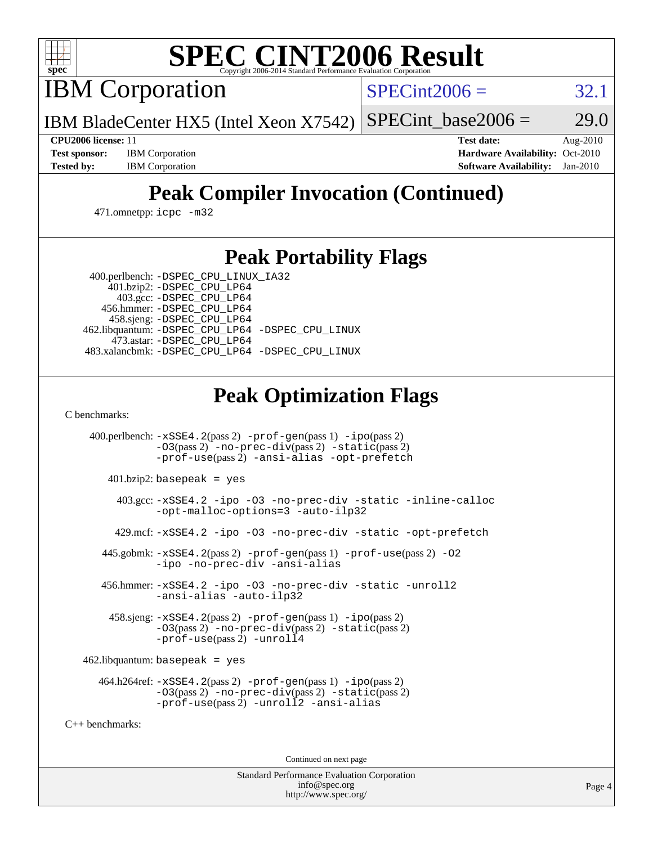

IBM Corporation

 $SPECint2006 = 32.1$  $SPECint2006 = 32.1$ 

IBM BladeCenter HX5 (Intel Xeon X7542) SPECint base2006 =  $29.0$ 

**[CPU2006 license:](http://www.spec.org/auto/cpu2006/Docs/result-fields.html#CPU2006license)** 11 **[Test date:](http://www.spec.org/auto/cpu2006/Docs/result-fields.html#Testdate)** Aug-2010 **[Test sponsor:](http://www.spec.org/auto/cpu2006/Docs/result-fields.html#Testsponsor)** IBM Corporation **[Hardware Availability:](http://www.spec.org/auto/cpu2006/Docs/result-fields.html#HardwareAvailability)** Oct-2010 **[Tested by:](http://www.spec.org/auto/cpu2006/Docs/result-fields.html#Testedby)** IBM Corporation **[Software Availability:](http://www.spec.org/auto/cpu2006/Docs/result-fields.html#SoftwareAvailability)** Jan-2010

# **[Peak Compiler Invocation \(Continued\)](http://www.spec.org/auto/cpu2006/Docs/result-fields.html#PeakCompilerInvocation)**

471.omnetpp: [icpc -m32](http://www.spec.org/cpu2006/results/res2010q3/cpu2006-20100831-13138.flags.html#user_peakCXXLD471_omnetpp_intel_icpc_32bit_4e5a5ef1a53fd332b3c49e69c3330699)

## **[Peak Portability Flags](http://www.spec.org/auto/cpu2006/Docs/result-fields.html#PeakPortabilityFlags)**

 400.perlbench: [-DSPEC\\_CPU\\_LINUX\\_IA32](http://www.spec.org/cpu2006/results/res2010q3/cpu2006-20100831-13138.flags.html#b400.perlbench_peakCPORTABILITY_DSPEC_CPU_LINUX_IA32) 401.bzip2: [-DSPEC\\_CPU\\_LP64](http://www.spec.org/cpu2006/results/res2010q3/cpu2006-20100831-13138.flags.html#suite_peakPORTABILITY401_bzip2_DSPEC_CPU_LP64)

 403.gcc: [-DSPEC\\_CPU\\_LP64](http://www.spec.org/cpu2006/results/res2010q3/cpu2006-20100831-13138.flags.html#suite_peakPORTABILITY403_gcc_DSPEC_CPU_LP64) 456.hmmer: [-DSPEC\\_CPU\\_LP64](http://www.spec.org/cpu2006/results/res2010q3/cpu2006-20100831-13138.flags.html#suite_peakPORTABILITY456_hmmer_DSPEC_CPU_LP64) 458.sjeng: [-DSPEC\\_CPU\\_LP64](http://www.spec.org/cpu2006/results/res2010q3/cpu2006-20100831-13138.flags.html#suite_peakPORTABILITY458_sjeng_DSPEC_CPU_LP64) 462.libquantum: [-DSPEC\\_CPU\\_LP64](http://www.spec.org/cpu2006/results/res2010q3/cpu2006-20100831-13138.flags.html#suite_peakPORTABILITY462_libquantum_DSPEC_CPU_LP64) [-DSPEC\\_CPU\\_LINUX](http://www.spec.org/cpu2006/results/res2010q3/cpu2006-20100831-13138.flags.html#b462.libquantum_peakCPORTABILITY_DSPEC_CPU_LINUX) 473.astar: [-DSPEC\\_CPU\\_LP64](http://www.spec.org/cpu2006/results/res2010q3/cpu2006-20100831-13138.flags.html#suite_peakPORTABILITY473_astar_DSPEC_CPU_LP64) 483.xalancbmk: [-DSPEC\\_CPU\\_LP64](http://www.spec.org/cpu2006/results/res2010q3/cpu2006-20100831-13138.flags.html#suite_peakPORTABILITY483_xalancbmk_DSPEC_CPU_LP64) [-DSPEC\\_CPU\\_LINUX](http://www.spec.org/cpu2006/results/res2010q3/cpu2006-20100831-13138.flags.html#b483.xalancbmk_peakCXXPORTABILITY_DSPEC_CPU_LINUX)

# **[Peak Optimization Flags](http://www.spec.org/auto/cpu2006/Docs/result-fields.html#PeakOptimizationFlags)**

[C benchmarks](http://www.spec.org/auto/cpu2006/Docs/result-fields.html#Cbenchmarks):

 400.perlbench: [-xSSE4.2](http://www.spec.org/cpu2006/results/res2010q3/cpu2006-20100831-13138.flags.html#user_peakPASS2_CFLAGSPASS2_LDCFLAGS400_perlbench_f-xSSE42_f91528193cf0b216347adb8b939d4107)(pass 2) [-prof-gen](http://www.spec.org/cpu2006/results/res2010q3/cpu2006-20100831-13138.flags.html#user_peakPASS1_CFLAGSPASS1_LDCFLAGS400_perlbench_prof_gen_e43856698f6ca7b7e442dfd80e94a8fc)(pass 1) [-ipo](http://www.spec.org/cpu2006/results/res2010q3/cpu2006-20100831-13138.flags.html#user_peakPASS2_CFLAGSPASS2_LDCFLAGS400_perlbench_f-ipo)(pass 2) [-O3](http://www.spec.org/cpu2006/results/res2010q3/cpu2006-20100831-13138.flags.html#user_peakPASS2_CFLAGSPASS2_LDCFLAGS400_perlbench_f-O3)(pass 2) [-no-prec-div](http://www.spec.org/cpu2006/results/res2010q3/cpu2006-20100831-13138.flags.html#user_peakPASS2_CFLAGSPASS2_LDCFLAGS400_perlbench_f-no-prec-div)(pass 2) [-static](http://www.spec.org/cpu2006/results/res2010q3/cpu2006-20100831-13138.flags.html#user_peakPASS2_CFLAGSPASS2_LDCFLAGS400_perlbench_f-static)(pass 2) [-prof-use](http://www.spec.org/cpu2006/results/res2010q3/cpu2006-20100831-13138.flags.html#user_peakPASS2_CFLAGSPASS2_LDCFLAGS400_perlbench_prof_use_bccf7792157ff70d64e32fe3e1250b55)(pass 2) [-ansi-alias](http://www.spec.org/cpu2006/results/res2010q3/cpu2006-20100831-13138.flags.html#user_peakCOPTIMIZE400_perlbench_f-ansi-alias) [-opt-prefetch](http://www.spec.org/cpu2006/results/res2010q3/cpu2006-20100831-13138.flags.html#user_peakCOPTIMIZE400_perlbench_f-opt-prefetch) 401.bzip2: basepeak = yes 403.gcc: [-xSSE4.2](http://www.spec.org/cpu2006/results/res2010q3/cpu2006-20100831-13138.flags.html#user_peakCOPTIMIZE403_gcc_f-xSSE42_f91528193cf0b216347adb8b939d4107) [-ipo](http://www.spec.org/cpu2006/results/res2010q3/cpu2006-20100831-13138.flags.html#user_peakCOPTIMIZE403_gcc_f-ipo) [-O3](http://www.spec.org/cpu2006/results/res2010q3/cpu2006-20100831-13138.flags.html#user_peakCOPTIMIZE403_gcc_f-O3) [-no-prec-div](http://www.spec.org/cpu2006/results/res2010q3/cpu2006-20100831-13138.flags.html#user_peakCOPTIMIZE403_gcc_f-no-prec-div) [-static](http://www.spec.org/cpu2006/results/res2010q3/cpu2006-20100831-13138.flags.html#user_peakCOPTIMIZE403_gcc_f-static) [-inline-calloc](http://www.spec.org/cpu2006/results/res2010q3/cpu2006-20100831-13138.flags.html#user_peakCOPTIMIZE403_gcc_f-inline-calloc) [-opt-malloc-options=3](http://www.spec.org/cpu2006/results/res2010q3/cpu2006-20100831-13138.flags.html#user_peakCOPTIMIZE403_gcc_f-opt-malloc-options_13ab9b803cf986b4ee62f0a5998c2238) [-auto-ilp32](http://www.spec.org/cpu2006/results/res2010q3/cpu2006-20100831-13138.flags.html#user_peakCOPTIMIZE403_gcc_f-auto-ilp32) 429.mcf: [-xSSE4.2](http://www.spec.org/cpu2006/results/res2010q3/cpu2006-20100831-13138.flags.html#user_peakCOPTIMIZE429_mcf_f-xSSE42_f91528193cf0b216347adb8b939d4107) [-ipo](http://www.spec.org/cpu2006/results/res2010q3/cpu2006-20100831-13138.flags.html#user_peakCOPTIMIZE429_mcf_f-ipo) [-O3](http://www.spec.org/cpu2006/results/res2010q3/cpu2006-20100831-13138.flags.html#user_peakCOPTIMIZE429_mcf_f-O3) [-no-prec-div](http://www.spec.org/cpu2006/results/res2010q3/cpu2006-20100831-13138.flags.html#user_peakCOPTIMIZE429_mcf_f-no-prec-div) [-static](http://www.spec.org/cpu2006/results/res2010q3/cpu2006-20100831-13138.flags.html#user_peakCOPTIMIZE429_mcf_f-static) [-opt-prefetch](http://www.spec.org/cpu2006/results/res2010q3/cpu2006-20100831-13138.flags.html#user_peakCOPTIMIZE429_mcf_f-opt-prefetch) 445.gobmk: [-xSSE4.2](http://www.spec.org/cpu2006/results/res2010q3/cpu2006-20100831-13138.flags.html#user_peakPASS2_CFLAGSPASS2_LDCFLAGS445_gobmk_f-xSSE42_f91528193cf0b216347adb8b939d4107)(pass 2) [-prof-gen](http://www.spec.org/cpu2006/results/res2010q3/cpu2006-20100831-13138.flags.html#user_peakPASS1_CFLAGSPASS1_LDCFLAGS445_gobmk_prof_gen_e43856698f6ca7b7e442dfd80e94a8fc)(pass 1) [-prof-use](http://www.spec.org/cpu2006/results/res2010q3/cpu2006-20100831-13138.flags.html#user_peakPASS2_CFLAGSPASS2_LDCFLAGS445_gobmk_prof_use_bccf7792157ff70d64e32fe3e1250b55)(pass 2) [-O2](http://www.spec.org/cpu2006/results/res2010q3/cpu2006-20100831-13138.flags.html#user_peakCOPTIMIZE445_gobmk_f-O2) [-ipo](http://www.spec.org/cpu2006/results/res2010q3/cpu2006-20100831-13138.flags.html#user_peakCOPTIMIZE445_gobmk_f-ipo) [-no-prec-div](http://www.spec.org/cpu2006/results/res2010q3/cpu2006-20100831-13138.flags.html#user_peakCOPTIMIZE445_gobmk_f-no-prec-div) [-ansi-alias](http://www.spec.org/cpu2006/results/res2010q3/cpu2006-20100831-13138.flags.html#user_peakCOPTIMIZE445_gobmk_f-ansi-alias) 456.hmmer: [-xSSE4.2](http://www.spec.org/cpu2006/results/res2010q3/cpu2006-20100831-13138.flags.html#user_peakCOPTIMIZE456_hmmer_f-xSSE42_f91528193cf0b216347adb8b939d4107) [-ipo](http://www.spec.org/cpu2006/results/res2010q3/cpu2006-20100831-13138.flags.html#user_peakCOPTIMIZE456_hmmer_f-ipo) [-O3](http://www.spec.org/cpu2006/results/res2010q3/cpu2006-20100831-13138.flags.html#user_peakCOPTIMIZE456_hmmer_f-O3) [-no-prec-div](http://www.spec.org/cpu2006/results/res2010q3/cpu2006-20100831-13138.flags.html#user_peakCOPTIMIZE456_hmmer_f-no-prec-div) [-static](http://www.spec.org/cpu2006/results/res2010q3/cpu2006-20100831-13138.flags.html#user_peakCOPTIMIZE456_hmmer_f-static) [-unroll2](http://www.spec.org/cpu2006/results/res2010q3/cpu2006-20100831-13138.flags.html#user_peakCOPTIMIZE456_hmmer_f-unroll_784dae83bebfb236979b41d2422d7ec2) [-ansi-alias](http://www.spec.org/cpu2006/results/res2010q3/cpu2006-20100831-13138.flags.html#user_peakCOPTIMIZE456_hmmer_f-ansi-alias) [-auto-ilp32](http://www.spec.org/cpu2006/results/res2010q3/cpu2006-20100831-13138.flags.html#user_peakCOPTIMIZE456_hmmer_f-auto-ilp32) 458.sjeng: [-xSSE4.2](http://www.spec.org/cpu2006/results/res2010q3/cpu2006-20100831-13138.flags.html#user_peakPASS2_CFLAGSPASS2_LDCFLAGS458_sjeng_f-xSSE42_f91528193cf0b216347adb8b939d4107)(pass 2) [-prof-gen](http://www.spec.org/cpu2006/results/res2010q3/cpu2006-20100831-13138.flags.html#user_peakPASS1_CFLAGSPASS1_LDCFLAGS458_sjeng_prof_gen_e43856698f6ca7b7e442dfd80e94a8fc)(pass 1) [-ipo](http://www.spec.org/cpu2006/results/res2010q3/cpu2006-20100831-13138.flags.html#user_peakPASS2_CFLAGSPASS2_LDCFLAGS458_sjeng_f-ipo)(pass 2)  $-03$ (pass 2)  $-$ no-prec-div(pass 2)  $-$ static(pass 2) [-prof-use](http://www.spec.org/cpu2006/results/res2010q3/cpu2006-20100831-13138.flags.html#user_peakPASS2_CFLAGSPASS2_LDCFLAGS458_sjeng_prof_use_bccf7792157ff70d64e32fe3e1250b55)(pass 2) [-unroll4](http://www.spec.org/cpu2006/results/res2010q3/cpu2006-20100831-13138.flags.html#user_peakCOPTIMIZE458_sjeng_f-unroll_4e5e4ed65b7fd20bdcd365bec371b81f)  $462$ .libquantum: basepeak = yes 464.h264ref: [-xSSE4.2](http://www.spec.org/cpu2006/results/res2010q3/cpu2006-20100831-13138.flags.html#user_peakPASS2_CFLAGSPASS2_LDCFLAGS464_h264ref_f-xSSE42_f91528193cf0b216347adb8b939d4107)(pass 2) [-prof-gen](http://www.spec.org/cpu2006/results/res2010q3/cpu2006-20100831-13138.flags.html#user_peakPASS1_CFLAGSPASS1_LDCFLAGS464_h264ref_prof_gen_e43856698f6ca7b7e442dfd80e94a8fc)(pass 1) [-ipo](http://www.spec.org/cpu2006/results/res2010q3/cpu2006-20100831-13138.flags.html#user_peakPASS2_CFLAGSPASS2_LDCFLAGS464_h264ref_f-ipo)(pass 2) [-O3](http://www.spec.org/cpu2006/results/res2010q3/cpu2006-20100831-13138.flags.html#user_peakPASS2_CFLAGSPASS2_LDCFLAGS464_h264ref_f-O3)(pass 2) [-no-prec-div](http://www.spec.org/cpu2006/results/res2010q3/cpu2006-20100831-13138.flags.html#user_peakPASS2_CFLAGSPASS2_LDCFLAGS464_h264ref_f-no-prec-div)(pass 2) [-static](http://www.spec.org/cpu2006/results/res2010q3/cpu2006-20100831-13138.flags.html#user_peakPASS2_CFLAGSPASS2_LDCFLAGS464_h264ref_f-static)(pass 2) [-prof-use](http://www.spec.org/cpu2006/results/res2010q3/cpu2006-20100831-13138.flags.html#user_peakPASS2_CFLAGSPASS2_LDCFLAGS464_h264ref_prof_use_bccf7792157ff70d64e32fe3e1250b55)(pass 2) [-unroll2](http://www.spec.org/cpu2006/results/res2010q3/cpu2006-20100831-13138.flags.html#user_peakCOPTIMIZE464_h264ref_f-unroll_784dae83bebfb236979b41d2422d7ec2) [-ansi-alias](http://www.spec.org/cpu2006/results/res2010q3/cpu2006-20100831-13138.flags.html#user_peakCOPTIMIZE464_h264ref_f-ansi-alias) [C++ benchmarks:](http://www.spec.org/auto/cpu2006/Docs/result-fields.html#CXXbenchmarks)

Continued on next page